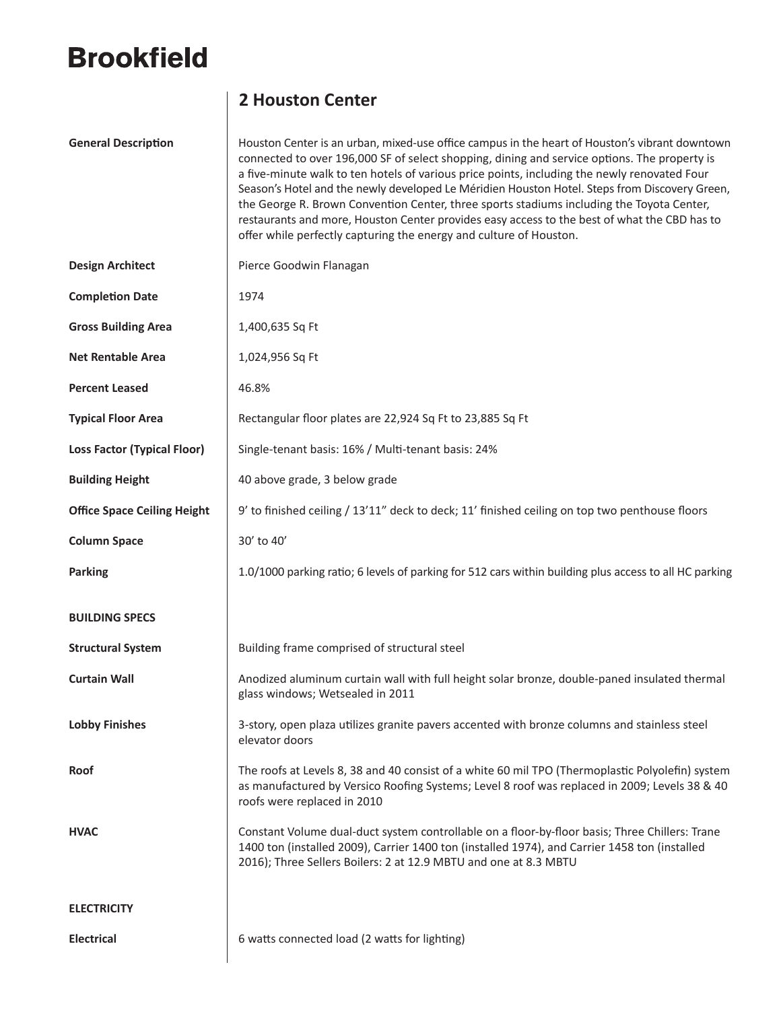## **Brookfield**

## **2 Houston Center**

General Description **Houston Center is an urban, mixed-use office campus in the heart of Houston's vibrant downtown** connected to over 196,000 SF of select shopping, dining and service options. The property is a five-minute walk to ten hotels of various price points, including the newly renovated Four Season's Hotel and the newly developed Le Méridien Houston Hotel. Steps from Discovery Green, the George R. Brown Convention Center, three sports stadiums including the Toyota Center, restaurants and more, Houston Center provides easy access to the best of what the CBD has to offer while perfectly capturing the energy and culture of Houston.

| <b>Design Architect</b>            | Pierce Goodwin Flanagan                                                                                                                                                                                                                                             |
|------------------------------------|---------------------------------------------------------------------------------------------------------------------------------------------------------------------------------------------------------------------------------------------------------------------|
| <b>Completion Date</b>             | 1974                                                                                                                                                                                                                                                                |
| <b>Gross Building Area</b>         | 1,400,635 Sq Ft                                                                                                                                                                                                                                                     |
| <b>Net Rentable Area</b>           | 1,024,956 Sq Ft                                                                                                                                                                                                                                                     |
| <b>Percent Leased</b>              | 46.8%                                                                                                                                                                                                                                                               |
| <b>Typical Floor Area</b>          | Rectangular floor plates are 22,924 Sq Ft to 23,885 Sq Ft                                                                                                                                                                                                           |
| <b>Loss Factor (Typical Floor)</b> | Single-tenant basis: 16% / Multi-tenant basis: 24%                                                                                                                                                                                                                  |
| <b>Building Height</b>             | 40 above grade, 3 below grade                                                                                                                                                                                                                                       |
| <b>Office Space Ceiling Height</b> | 9' to finished ceiling / 13'11" deck to deck; 11' finished ceiling on top two penthouse floors                                                                                                                                                                      |
| <b>Column Space</b>                | 30' to 40'                                                                                                                                                                                                                                                          |
| <b>Parking</b>                     | 1.0/1000 parking ratio; 6 levels of parking for 512 cars within building plus access to all HC parking                                                                                                                                                              |
| <b>BUILDING SPECS</b>              |                                                                                                                                                                                                                                                                     |
|                                    |                                                                                                                                                                                                                                                                     |
| <b>Structural System</b>           | Building frame comprised of structural steel                                                                                                                                                                                                                        |
| <b>Curtain Wall</b>                | Anodized aluminum curtain wall with full height solar bronze, double-paned insulated thermal<br>glass windows; Wetsealed in 2011                                                                                                                                    |
| <b>Lobby Finishes</b>              | 3-story, open plaza utilizes granite pavers accented with bronze columns and stainless steel<br>elevator doors                                                                                                                                                      |
| <b>Roof</b>                        | The roofs at Levels 8, 38 and 40 consist of a white 60 mil TPO (Thermoplastic Polyolefin) system<br>as manufactured by Versico Roofing Systems; Level 8 roof was replaced in 2009; Levels 38 & 40<br>roofs were replaced in 2010                                    |
| <b>HVAC</b>                        | Constant Volume dual-duct system controllable on a floor-by-floor basis; Three Chillers: Trane<br>1400 ton (installed 2009), Carrier 1400 ton (installed 1974), and Carrier 1458 ton (installed<br>2016); Three Sellers Boilers: 2 at 12.9 MBTU and one at 8.3 MBTU |
| <b>ELECTRICITY</b>                 |                                                                                                                                                                                                                                                                     |
| <b>Electrical</b>                  | 6 watts connected load (2 watts for lighting)                                                                                                                                                                                                                       |